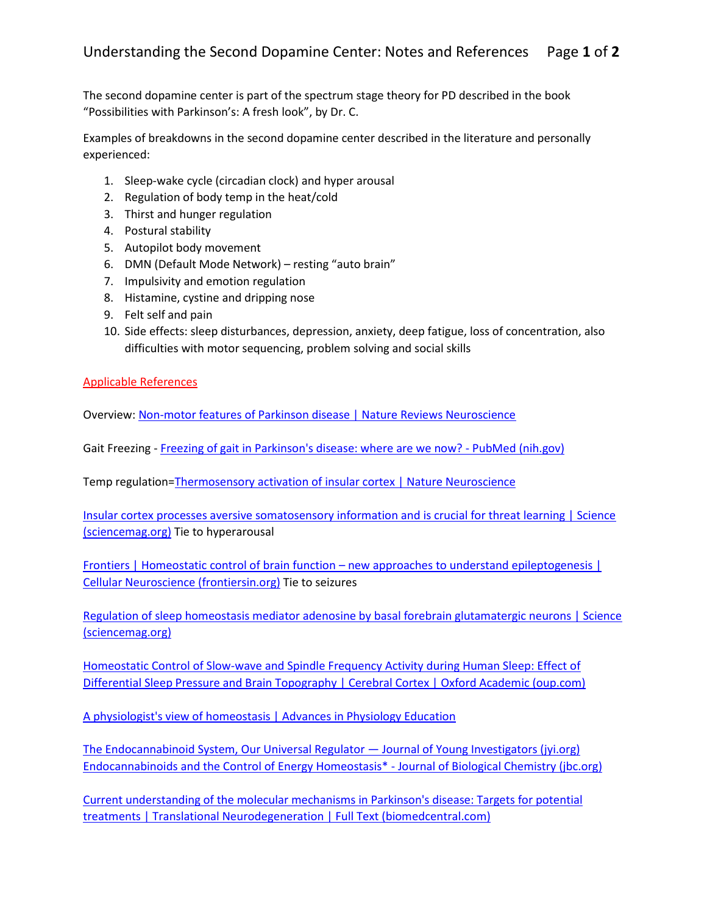The second dopamine center is part of the spectrum stage theory for PD described in the book "Possibilities with Parkinson's: A fresh look", by Dr. C.

Examples of breakdowns in the second dopamine center described in the literature and personally experienced:

- 1. Sleep-wake cycle (circadian clock) and hyper arousal
- 2. Regulation of body temp in the heat/cold
- 3. Thirst and hunger regulation
- 4. Postural stability
- 5. Autopilot body movement
- 6. DMN (Default Mode Network) resting "auto brain"
- 7. Impulsivity and emotion regulation
- 8. Histamine, cystine and dripping nose
- 9. Felt self and pain
- 10. Side effects: sleep disturbances, depression, anxiety, deep fatigue, loss of concentration, also difficulties with motor sequencing, problem solving and social skills

## Applicable References

Overview: Non-motor features of Parkinson disease | Nature Reviews Neuroscience

Gait Freezing - Freezing of gait in Parkinson's disease: where are we now? - PubMed (nih.gov)

Temp regulation=Thermosensory activation of insular cortex | Nature Neuroscience

Insular cortex processes aversive somatosensory information and is crucial for threat learning | Science (sciencemag.org) Tie to hyperarousal

Frontiers | Homeostatic control of brain function – new approaches to understand epileptogenesis | Cellular Neuroscience (frontiersin.org) Tie to seizures

Regulation of sleep homeostasis mediator adenosine by basal forebrain glutamatergic neurons | Science (sciencemag.org)

Homeostatic Control of Slow-wave and Spindle Frequency Activity during Human Sleep: Effect of Differential Sleep Pressure and Brain Topography | Cerebral Cortex | Oxford Academic (oup.com)

A physiologist's view of homeostasis | Advances in Physiology Education

The Endocannabinoid System, Our Universal Regulator — Journal of Young Investigators (jyi.org) Endocannabinoids and the Control of Energy Homeostasis\* - Journal of Biological Chemistry (jbc.org)

Current understanding of the molecular mechanisms in Parkinson's disease: Targets for potential treatments | Translational Neurodegeneration | Full Text (biomedcentral.com)